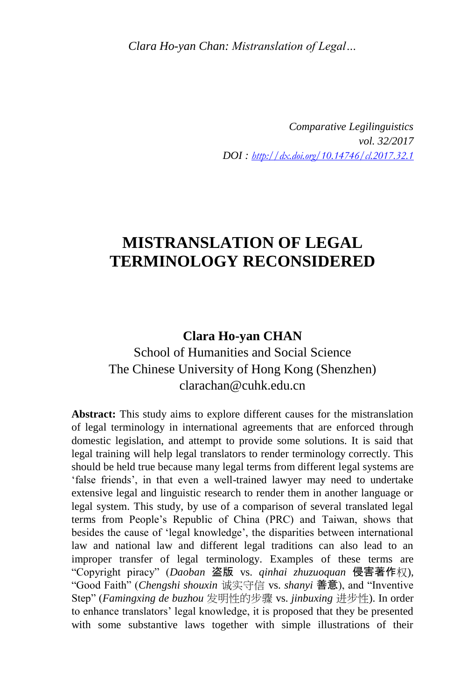*Clara Ho-yan Chan: Mistranslation of Legal…*

*Comparative Legilinguistics vol. 32/2017 DOI : <http://dx.doi.org/10.14746/cl.2017.32.1>*

# **MISTRANSLATION OF LEGAL TERMINOLOGY RECONSIDERED**

### **Clara Ho-yan CHAN**

School of Humanities and Social Science The Chinese University of Hong Kong (Shenzhen) clarachan@cuhk.edu.cn

**Abstract:** This study aims to explore different causes for the mistranslation of legal terminology in international agreements that are enforced through domestic legislation, and attempt to provide some solutions. It is said that legal training will help legal translators to render terminology correctly. This should be held true because many legal terms from different legal systems are 'false friends', in that even a well-trained lawyer may need to undertake extensive legal and linguistic research to render them in another language or legal system. This study, by use of a comparison of several translated legal terms from People's Republic of China (PRC) and Taiwan, shows that besides the cause of 'legal knowledge', the disparities between international law and national law and different legal traditions can also lead to an improper transfer of legal terminology. Examples of these terms are "Copyright piracy" (*Daoban* 盗版 vs. *qinhai zhuzuoquan* 侵害著作权), "Good Faith" (*Chengshi shouxin* 诚实守信 vs. *shanyi* 善意), and "Inventive Step" (*Famingxing de buzhou* 发明性的步骤 vs. *jinbuxing* 进步性). In order to enhance translators' legal knowledge, it is proposed that they be presented with some substantive laws together with simple illustrations of their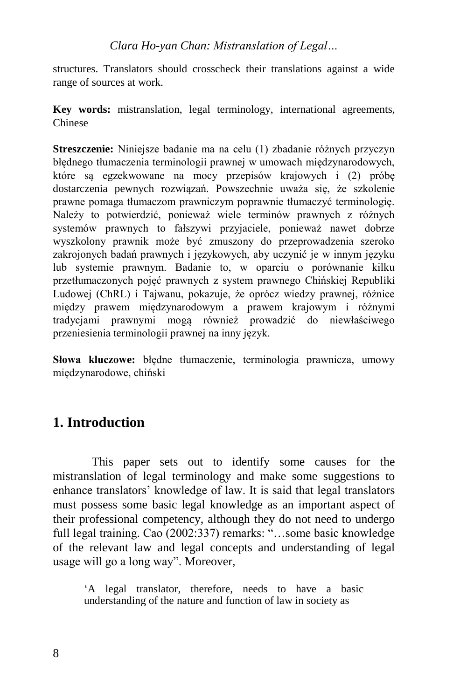*Clara Ho-yan Chan: Mistranslation of Legal…*

structures. Translators should crosscheck their translations against a wide range of sources at work.

**Key words:** mistranslation, legal terminology, international agreements, Chinese

**Streszczenie:** Niniejsze badanie ma na celu (1) zbadanie różnych przyczyn błędnego tłumaczenia terminologii prawnej w umowach międzynarodowych, które są egzekwowane na mocy przepisów krajowych i (2) próbę dostarczenia pewnych rozwiązań. Powszechnie uważa się, że szkolenie prawne pomaga tłumaczom prawniczym poprawnie tłumaczyć terminologię. Należy to potwierdzić, ponieważ wiele terminów prawnych z różnych systemów prawnych to fałszywi przyjaciele, ponieważ nawet dobrze wyszkolony prawnik może być zmuszony do przeprowadzenia szeroko zakrojonych badań prawnych i językowych, aby uczynić je w innym języku lub systemie prawnym. Badanie to, w oparciu o porównanie kilku przetłumaczonych pojęć prawnych z system prawnego Chińskiej Republiki Ludowej (ChRL) i Tajwanu, pokazuje, że oprócz wiedzy prawnej, różnice między prawem międzynarodowym a prawem krajowym i różnymi tradycjami prawnymi mogą również prowadzić do niewłaściwego przeniesienia terminologii prawnej na inny język.

**Słowa kluczowe:** błędne tłumaczenie, terminologia prawnicza, umowy międzynarodowe, chiński

# **1. Introduction**

This paper sets out to identify some causes for the mistranslation of legal terminology and make some suggestions to enhance translators' knowledge of law. It is said that legal translators must possess some basic legal knowledge as an important aspect of their professional competency, although they do not need to undergo full legal training. Cao (2002:337) remarks: "…some basic knowledge of the relevant law and legal concepts and understanding of legal usage will go a long way". Moreover,

'A legal translator, therefore, needs to have a basic understanding of the nature and function of law in society as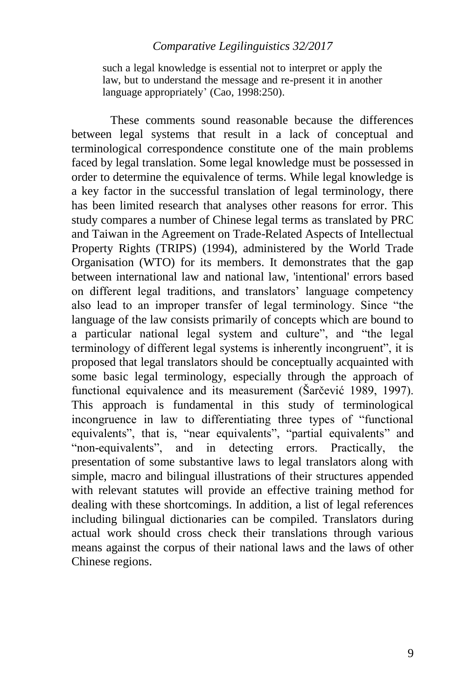such a legal knowledge is essential not to interpret or apply the law, but to understand the message and re-present it in another language appropriately' (Cao, 1998:250).

These comments sound reasonable because the differences between legal systems that result in a lack of conceptual and terminological correspondence constitute one of the main problems faced by legal translation. Some legal knowledge must be possessed in order to determine the equivalence of terms. While legal knowledge is a key factor in the successful translation of legal terminology, there has been limited research that analyses other reasons for error. This study compares a number of Chinese legal terms as translated by PRC and Taiwan in the Agreement on Trade-Related Aspects of Intellectual Property Rights (TRIPS) (1994), administered by the World Trade Organisation (WTO) for its members. It demonstrates that the gap between international law and national law, 'intentional' errors based on different legal traditions, and translators' language competency also lead to an improper transfer of legal terminology. Since "the language of the law consists primarily of concepts which are bound to a particular national legal system and culture", and "the legal terminology of different legal systems is inherently incongruent", it is proposed that legal translators should be conceptually acquainted with some basic legal terminology, especially through the approach of functional equivalence and its measurement (Šarčević 1989, 1997). This approach is fundamental in this study of terminological incongruence in law to differentiating three types of "functional equivalents", that is, "near equivalents", "partial equivalents" and "non-equivalents", and in detecting errors. Practically, the presentation of some substantive laws to legal translators along with simple, macro and bilingual illustrations of their structures appended with relevant statutes will provide an effective training method for dealing with these shortcomings. In addition, a list of legal references including bilingual dictionaries can be compiled. Translators during actual work should cross check their translations through various means against the corpus of their national laws and the laws of other Chinese regions.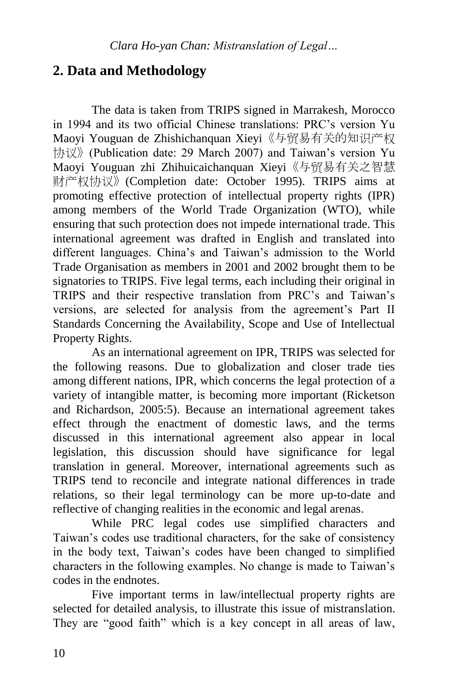# **2. Data and Methodology**

The data is taken from TRIPS signed in Marrakesh, Morocco in 1994 and its two official Chinese translations: PRC's version Yu Maoyi Youguan de Zhishichanquan Xieyi《与贸易有关的知识产权 协议》(Publication date: 29 March 2007) and Taiwan's version Yu Maoyi Youguan zhi Zhihuicaichanquan Xieyi《与贸易有关之智慧 财产权协议》(Completion date: October 1995). TRIPS aims at promoting effective protection of intellectual property rights (IPR) among members of the World Trade Organization (WTO), while ensuring that such protection does not impede international trade. This international agreement was drafted in English and translated into different languages. China's and Taiwan's admission to the World Trade Organisation as members in 2001 and 2002 brought them to be signatories to TRIPS. Five legal terms, each including their original in TRIPS and their respective translation from PRC's and Taiwan's versions, are selected for analysis from the agreement's Part II Standards Concerning the Availability, Scope and Use of Intellectual Property Rights.

As an international agreement on IPR, TRIPS was selected for the following reasons. Due to globalization and closer trade ties among different nations, IPR, which concerns the legal protection of a variety of intangible matter, is becoming more important (Ricketson and Richardson, 2005:5). Because an international agreement takes effect through the enactment of domestic laws, and the terms discussed in this international agreement also appear in local legislation, this discussion should have significance for legal translation in general. Moreover, international agreements such as TRIPS tend to reconcile and integrate national differences in trade relations, so their legal terminology can be more up-to-date and reflective of changing realities in the economic and legal arenas.

While PRC legal codes use simplified characters and Taiwan's codes use traditional characters, for the sake of consistency in the body text, Taiwan's codes have been changed to simplified characters in the following examples. No change is made to Taiwan's codes in the endnotes.

Five important terms in law/intellectual property rights are selected for detailed analysis, to illustrate this issue of mistranslation. They are "good faith" which is a key concept in all areas of law,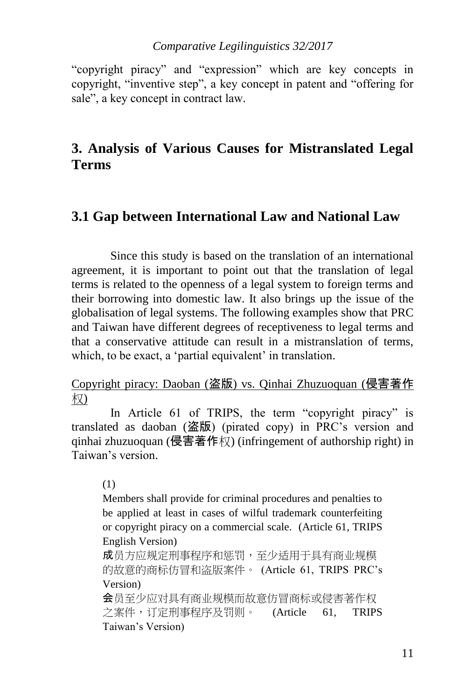"copyright piracy" and "expression" which are key concepts in copyright, "inventive step", a key concept in patent and "offering for sale", a key concept in contract law.

# **3. Analysis of Various Causes for Mistranslated Legal Terms**

## **3.1 Gap between International Law and National Law**

Since this study is based on the translation of an international agreement, it is important to point out that the translation of legal terms is related to the openness of a legal system to foreign terms and their borrowing into domestic law. It also brings up the issue of the globalisation of legal systems. The following examples show that PRC and Taiwan have different degrees of receptiveness to legal terms and that a conservative attitude can result in a mistranslation of terms, which, to be exact, a 'partial equivalent' in translation.

### Copyright piracy: Daoban (盗版) vs. Qinhai Zhuzuoquan (侵害著作 权)

In Article 61 of TRIPS, the term "copyright piracy" is translated as daoban (盗版) (pirated copy) in PRC's version and qinhai zhuzuoquan (侵害著作权) (infringement of authorship right) in Taiwan's version.

(1)

Members shall provide for criminal procedures and penalties to be applied at least in cases of wilful trademark counterfeiting or copyright piracy on a commercial scale. (Article 61, TRIPS English Version)

成员方应规定刑事程序和惩罚,至少适用于具有商业规模 的故意的商标仿冒和盗版案件。 (Article 61, TRIPS PRC's Version)

会员至少应对具有商业规模而故意仿冒商标或侵害著作权 之案件,订定刑事程序及罚则。 (Article 61, TRIPS Taiwan's Version)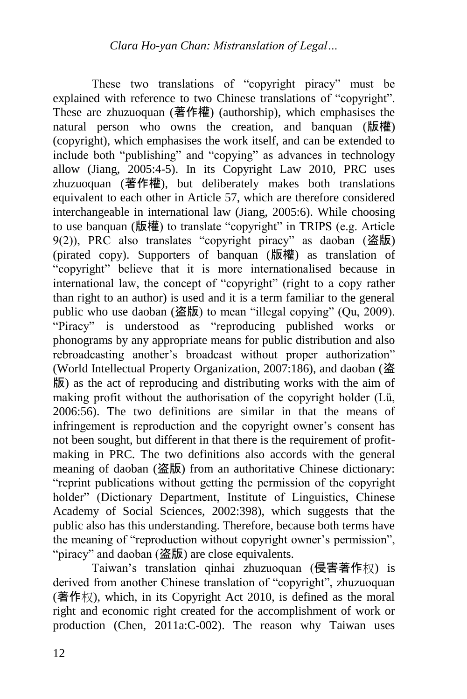These two translations of "copyright piracy" must be explained with reference to two Chinese translations of "copyright". These are zhuzuoquan (著作權) (authorship), which emphasises the natural person who owns the creation, and banquan (版權) (copyright), which emphasises the work itself, and can be extended to include both "publishing" and "copying" as advances in technology allow (Jiang, 2005:4-5). In its Copyright Law 2010, PRC uses zhuzuoquan (著作權), but deliberately makes both translations equivalent to each other in Article 57, which are therefore considered interchangeable in international law (Jiang, 2005:6). While choosing to use banquan (版權) to translate "copyright" in TRIPS (e.g. Article 9(2)), PRC also translates "copyright piracy" as daoban (盗版) (pirated copy). Supporters of banquan (版權) as translation of "copyright" believe that it is more internationalised because in international law, the concept of "copyright" (right to a copy rather than right to an author) is used and it is a term familiar to the general public who use daoban (盗版) to mean "illegal copying" (Qu, 2009). "Piracy" is understood as "reproducing published works or phonograms by any appropriate means for public distribution and also rebroadcasting another's broadcast without proper authorization" (World Intellectual Property Organization, 2007:186), and daoban (盗 版) as the act of reproducing and distributing works with the aim of making profit without the authorisation of the copyright holder (Lü, 2006:56). The two definitions are similar in that the means of infringement is reproduction and the copyright owner's consent has not been sought, but different in that there is the requirement of profitmaking in PRC. The two definitions also accords with the general meaning of daoban (盗版) from an authoritative Chinese dictionary: "reprint publications without getting the permission of the copyright holder" (Dictionary Department, Institute of Linguistics, Chinese Academy of Social Sciences, 2002:398), which suggests that the public also has this understanding. Therefore, because both terms have the meaning of "reproduction without copyright owner's permission", "piracy" and daoban (盗版) are close equivalents.

Taiwan's translation qinhai zhuzuoquan (侵害著作权) is derived from another Chinese translation of "copyright", zhuzuoquan (著作权), which, in its Copyright Act 2010, is defined as the moral right and economic right created for the accomplishment of work or production (Chen, 2011a:C-002). The reason why Taiwan uses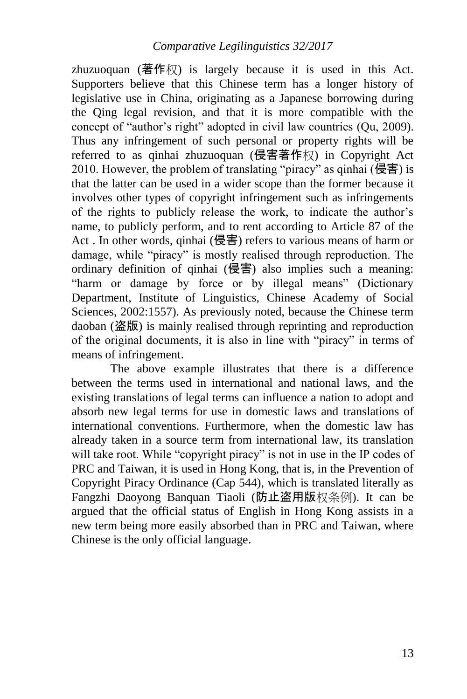zhuzuoquan (著作权) is largely because it is used in this Act. Supporters believe that this Chinese term has a longer history of legislative use in China, originating as a Japanese borrowing during the Qing legal revision, and that it is more compatible with the concept of "author's right" adopted in civil law countries (Qu, 2009). Thus any infringement of such personal or property rights will be referred to as qinhai zhuzuoquan (侵害著作权) in Copyright Act 2010. However, the problem of translating "piracy" as qinhai (侵害) is that the latter can be used in a wider scope than the former because it involves other types of copyright infringement such as infringements of the rights to publicly release the work, to indicate the author's name, to publicly perform, and to rent according to Article 87 of the Act . In other words, qinhai (侵害) refers to various means of harm or damage, while "piracy" is mostly realised through reproduction. The ordinary definition of qinhai  $(\overline{\mathbf{\Theta}}\overline{\mathbf{F}})$  also implies such a meaning: "harm or damage by force or by illegal means" (Dictionary Department, Institute of Linguistics, Chinese Academy of Social Sciences, 2002:1557). As previously noted, because the Chinese term daoban (盗版) is mainly realised through reprinting and reproduction of the original documents, it is also in line with "piracy" in terms of means of infringement.

The above example illustrates that there is a difference between the terms used in international and national laws, and the existing translations of legal terms can influence a nation to adopt and absorb new legal terms for use in domestic laws and translations of international conventions. Furthermore, when the domestic law has already taken in a source term from international law, its translation will take root. While "copyright piracy" is not in use in the IP codes of PRC and Taiwan, it is used in Hong Kong, that is, in the Prevention of Copyright Piracy Ordinance (Cap 544), which is translated literally as Fangzhi Daoyong Banquan Tiaoli (防止盗用版权条例). It can be argued that the official status of English in Hong Kong assists in a new term being more easily absorbed than in PRC and Taiwan, where Chinese is the only official language.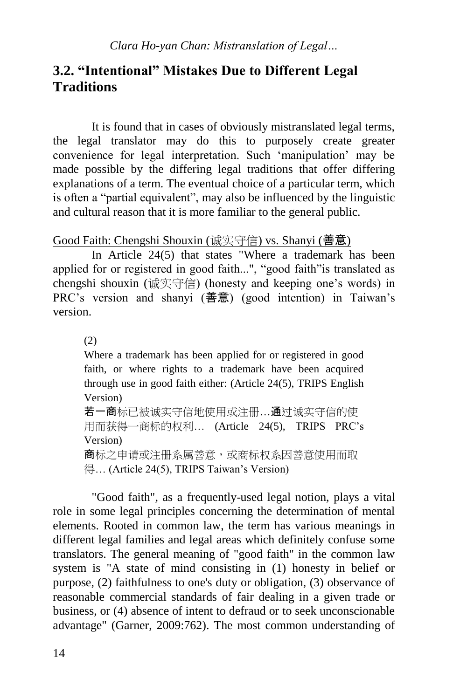# **3.2. "Intentional" Mistakes Due to Different Legal Traditions**

It is found that in cases of obviously mistranslated legal terms, the legal translator may do this to purposely create greater convenience for legal interpretation. Such 'manipulation' may be made possible by the differing legal traditions that offer differing explanations of a term. The eventual choice of a particular term, which is often a "partial equivalent", may also be influenced by the linguistic and cultural reason that it is more familiar to the general public.

### Good Faith: Chengshi Shouxin (诚实守信) vs. Shanyi (善意)

In Article 24(5) that states "Where a trademark has been applied for or registered in good faith...", "good faith"is translated as chengshi shouxin (诚实守信) (honesty and keeping one's words) in PRC's version and shanyi (善意) (good intention) in Taiwan's version.

(2)

Where a trademark has been applied for or registered in good faith, or where rights to a trademark have been acquired through use in good faith either: (Article 24(5), TRIPS English Version) 若一商标已被诚实守信地使用或注册…通过诚实守信的使 用而获得一商标的权利… (Article 24(5), TRIPS PRC's Version) 商标之申请或注册系属善意,或商标权系因善意使用而取

得… (Article 24(5), TRIPS Taiwan's Version)

"Good faith", as a frequently-used legal notion, plays a vital role in some legal principles concerning the determination of mental elements. Rooted in common law, the term has various meanings in different legal families and legal areas which definitely confuse some translators. The general meaning of "good faith" in the common law system is "A state of mind consisting in (1) honesty in belief or purpose, (2) faithfulness to one's duty or obligation, (3) observance of reasonable commercial standards of fair dealing in a given trade or business, or (4) absence of intent to defraud or to seek unconscionable advantage" (Garner, 2009:762). The most common understanding of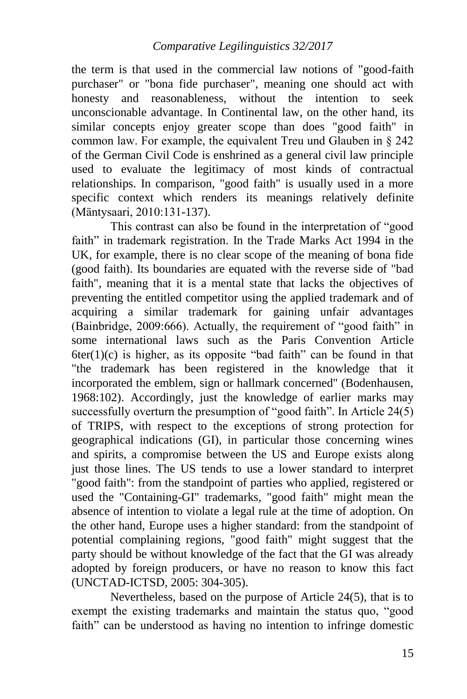the term is that used in the commercial law notions of "good-faith purchaser" or "bona fide purchaser", meaning one should act with honesty and reasonableness, without the intention to seek unconscionable advantage. In Continental law, on the other hand, its similar concepts enjoy greater scope than does "good faith" in common law. For example, the equivalent Treu und Glauben in § 242 of the German Civil Code is enshrined as a general civil law principle used to evaluate the legitimacy of most kinds of contractual relationships. In comparison, "good faith" is usually used in a more specific context which renders its meanings relatively definite (Mäntysaari, 2010:131-137).

This contrast can also be found in the interpretation of "good faith" in trademark registration. In the Trade Marks Act 1994 in the UK, for example, there is no clear scope of the meaning of bona fide (good faith). Its boundaries are equated with the reverse side of "bad faith", meaning that it is a mental state that lacks the objectives of preventing the entitled competitor using the applied trademark and of acquiring a similar trademark for gaining unfair advantages (Bainbridge, 2009:666). Actually, the requirement of "good faith" in some international laws such as the Paris Convention Article  $6\text{ter}(1)(c)$  is higher, as its opposite "bad faith" can be found in that "the trademark has been registered in the knowledge that it incorporated the emblem, sign or hallmark concerned" (Bodenhausen, 1968:102). Accordingly, just the knowledge of earlier marks may successfully overturn the presumption of "good faith". In Article 24(5) of TRIPS, with respect to the exceptions of strong protection for geographical indications (GI), in particular those concerning wines and spirits, a compromise between the US and Europe exists along just those lines. The US tends to use a lower standard to interpret "good faith": from the standpoint of parties who applied, registered or used the "Containing-GI" trademarks, "good faith" might mean the absence of intention to violate a legal rule at the time of adoption. On the other hand, Europe uses a higher standard: from the standpoint of potential complaining regions, "good faith" might suggest that the party should be without knowledge of the fact that the GI was already adopted by foreign producers, or have no reason to know this fact (UNCTAD-ICTSD, 2005: 304-305).

Nevertheless, based on the purpose of Article 24(5), that is to exempt the existing trademarks and maintain the status quo, "good faith" can be understood as having no intention to infringe domestic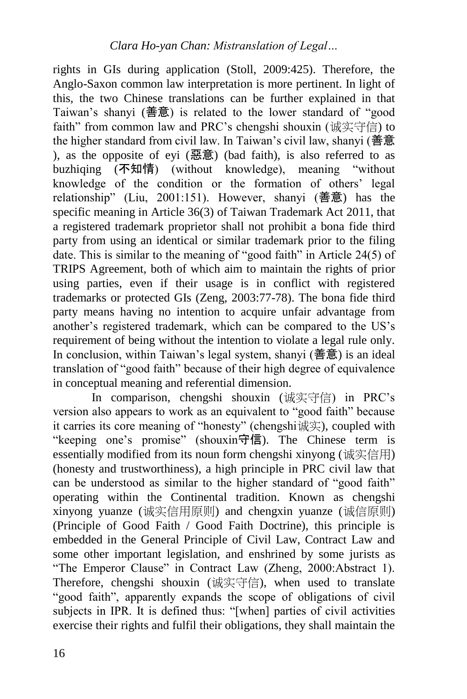rights in GIs during application (Stoll, 2009:425). Therefore, the Anglo-Saxon common law interpretation is more pertinent. In light of this, the two Chinese translations can be further explained in that Taiwan's shanyi (善意) is related to the lower standard of "good faith" from common law and PRC's chengshi shouxin (诚实守信) to the higher standard from civil law. In Taiwan's civil law, shanyi (善意 ), as the opposite of eyi (惡意) (bad faith), is also referred to as buzhiqing (不知情) (without knowledge), meaning "without knowledge of the condition or the formation of others' legal relationship" (Liu, 2001:151). However, shanyi (善意) has the specific meaning in Article 36(3) of Taiwan Trademark Act 2011, that a registered trademark proprietor shall not prohibit a bona fide third party from using an identical or similar trademark prior to the filing date. This is similar to the meaning of "good faith" in Article 24(5) of TRIPS Agreement, both of which aim to maintain the rights of prior using parties, even if their usage is in conflict with registered trademarks or protected GIs (Zeng, 2003:77-78). The bona fide third party means having no intention to acquire unfair advantage from another's registered trademark, which can be compared to the US's requirement of being without the intention to violate a legal rule only. In conclusion, within Taiwan's legal system, shanyi (善意) is an ideal translation of "good faith" because of their high degree of equivalence in conceptual meaning and referential dimension.

In comparison, chengshi shouxin (诚实守信) in PRC's version also appears to work as an equivalent to "good faith" because it carries its core meaning of "honesty" (chengshi诚实), coupled with "keeping one's promise" (shouxin守信). The Chinese term is essentially modified from its noun form chengshi xinyong (诚实信用) (honesty and trustworthiness), a high principle in PRC civil law that can be understood as similar to the higher standard of "good faith" operating within the Continental tradition. Known as chengshi xinyong yuanze (诚实信用原则) and chengxin yuanze (诚信原则) (Principle of Good Faith / Good Faith Doctrine), this principle is embedded in the General Principle of Civil Law, Contract Law and some other important legislation, and enshrined by some jurists as "The Emperor Clause" in Contract Law (Zheng, 2000:Abstract 1). Therefore, chengshi shouxin (诚实守信), when used to translate "good faith", apparently expands the scope of obligations of civil subjects in IPR. It is defined thus: "[when] parties of civil activities exercise their rights and fulfil their obligations, they shall maintain the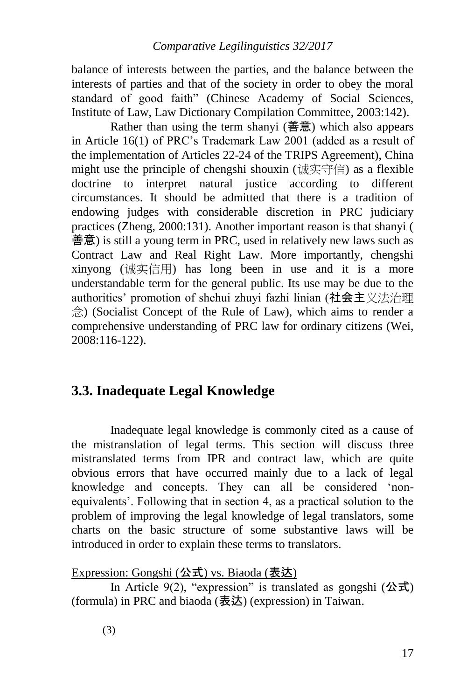balance of interests between the parties, and the balance between the interests of parties and that of the society in order to obey the moral standard of good faith" (Chinese Academy of Social Sciences, Institute of Law, Law Dictionary Compilation Committee, 2003:142).

Rather than using the term shanyi (善意) which also appears in Article 16(1) of PRC's Trademark Law 2001 (added as a result of the implementation of Articles 22-24 of the TRIPS Agreement), China might use the principle of chengshi shouxin (诚实守信) as a flexible doctrine to interpret natural justice according to different circumstances. It should be admitted that there is a tradition of endowing judges with considerable discretion in PRC judiciary practices (Zheng, 2000:131). Another important reason is that shanyi ( 善意) is still a young term in PRC, used in relatively new laws such as Contract Law and Real Right Law. More importantly, chengshi xinyong (诚实信用) has long been in use and it is a more understandable term for the general public. Its use may be due to the authorities' promotion of shehui zhuyi fazhi linian (社会主义法治理 念) (Socialist Concept of the Rule of Law), which aims to render a comprehensive understanding of PRC law for ordinary citizens (Wei, 2008:116-122).

# **3.3. Inadequate Legal Knowledge**

Inadequate legal knowledge is commonly cited as a cause of the mistranslation of legal terms. This section will discuss three mistranslated terms from IPR and contract law, which are quite obvious errors that have occurred mainly due to a lack of legal knowledge and concepts. They can all be considered 'nonequivalents'. Following that in section 4, as a practical solution to the problem of improving the legal knowledge of legal translators, some charts on the basic structure of some substantive laws will be introduced in order to explain these terms to translators.

## Expression: Gongshi (公式) vs. Biaoda (表达)

In Article 9(2), "expression" is translated as gongshi (公式) (formula) in PRC and biaoda  $($ 表达) (expression) in Taiwan.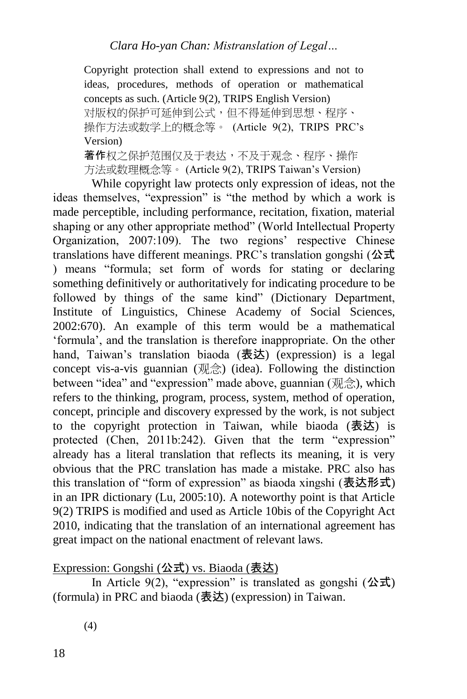*Clara Ho-yan Chan: Mistranslation of Legal…*

Copyright protection shall extend to expressions and not to ideas, procedures, methods of operation or mathematical concepts as such. (Article 9(2), TRIPS English Version) 对版权的保护可延伸到公式,但不得延伸到思想、程序、 操作方法或数学上的概念等。 (Article 9(2), TRIPS PRC's Version) 著作权之保护范围仅及于表达,不及于观念、程序、操作 方法或数理概念等。 (Article 9(2), TRIPS Taiwan's Version)

While copyright law protects only expression of ideas, not the ideas themselves, "expression" is "the method by which a work is made perceptible, including performance, recitation, fixation, material shaping or any other appropriate method" (World Intellectual Property Organization, 2007:109). The two regions' respective Chinese translations have different meanings. PRC's translation gongshi (公式) ) means "formula; set form of words for stating or declaring something definitively or authoritatively for indicating procedure to be followed by things of the same kind" (Dictionary Department, Institute of Linguistics, Chinese Academy of Social Sciences, 2002:670). An example of this term would be a mathematical 'formula', and the translation is therefore inappropriate. On the other hand, Taiwan's translation biaoda (表达) (expression) is a legal concept vis-a-vis guannian (观念) (idea). Following the distinction between "idea" and "expression" made above, guannian (观念), which refers to the thinking, program, process, system, method of operation, concept, principle and discovery expressed by the work, is not subject to the copyright protection in Taiwan, while biaoda (表达) is protected (Chen, 2011b:242). Given that the term "expression" already has a literal translation that reflects its meaning, it is very obvious that the PRC translation has made a mistake. PRC also has this translation of "form of expression" as biaoda xingshi (表达形式) in an IPR dictionary (Lu, 2005:10). A noteworthy point is that Article 9(2) TRIPS is modified and used as Article 10bis of the Copyright Act 2010, indicating that the translation of an international agreement has great impact on the national enactment of relevant laws.

Expression: Gongshi (公式) vs. Biaoda (表达)

In Article 9(2), "expression" is translated as gongshi (公式) (formula) in PRC and biaoda (表达) (expression) in Taiwan.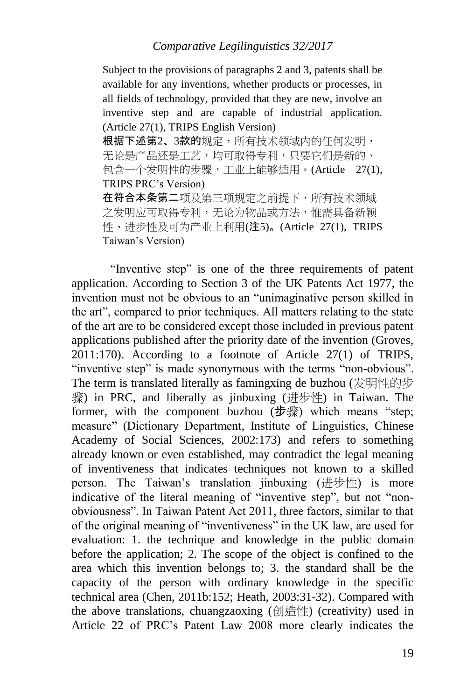Subject to the provisions of paragraphs 2 and 3, patents shall be available for any inventions, whether products or processes, in all fields of technology, provided that they are new, involve an inventive step and are capable of industrial application. (Article 27(1), TRIPS English Version) 根据下述第2、3款的规定,所有技术领域内的任何发明, 无论是产品还是工艺,均可取得专利,只要它们是新的、 包含一个发明性的步骤,工业上能够适用。(Article 27(1), TRIPS PRC's Version) 在符合本条第二项及第三项规定之前提下,所有技术领域 之发明应可取得专利,无论为物品或方法,惟需具备新颖 性、进步性及可为产业上利用(注5)。(Article 27(1), TRIPS Taiwan's Version)

"Inventive step" is one of the three requirements of patent application. According to Section 3 of the UK Patents Act 1977, the invention must not be obvious to an "unimaginative person skilled in the art", compared to prior techniques. All matters relating to the state of the art are to be considered except those included in previous patent applications published after the priority date of the invention (Groves, 2011:170). According to a footnote of Article 27(1) of TRIPS, "inventive step" is made synonymous with the terms "non-obvious". The term is translated literally as famingxing de buzhou (发明性的步 骤) in PRC, and liberally as jinbuxing (进步性) in Taiwan. The former, with the component buzhou (步骤) which means "step; measure" (Dictionary Department, Institute of Linguistics, Chinese Academy of Social Sciences, 2002:173) and refers to something already known or even established, may contradict the legal meaning of inventiveness that indicates techniques not known to a skilled person. The Taiwan's translation jinbuxing (进步性) is more indicative of the literal meaning of "inventive step", but not "nonobviousness". In Taiwan Patent Act 2011, three factors, similar to that of the original meaning of "inventiveness" in the UK law, are used for evaluation: 1. the technique and knowledge in the public domain before the application; 2. The scope of the object is confined to the area which this invention belongs to; 3. the standard shall be the capacity of the person with ordinary knowledge in the specific technical area (Chen, 2011b:152; Heath, 2003:31-32). Compared with the above translations, chuangzaoxing (创造性) (creativity) used in Article 22 of PRC's Patent Law 2008 more clearly indicates the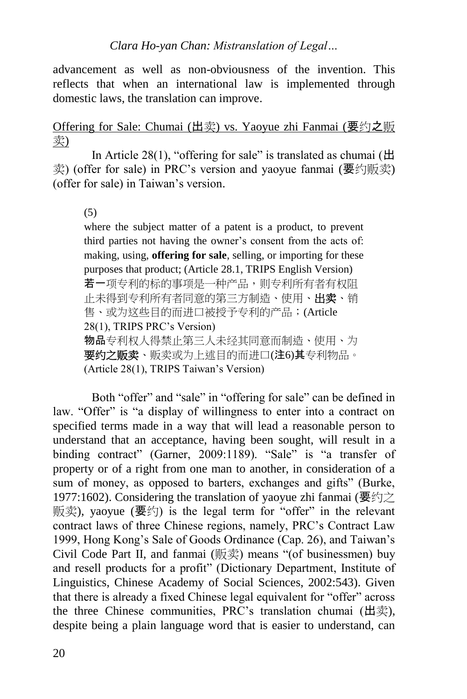advancement as well as non-obviousness of the invention. This reflects that when an international law is implemented through domestic laws, the translation can improve.

Offering for Sale: Chumai (出卖) vs. Yaoyue zhi Fanmai (要约之贩 卖)

In Article 28(1), "offering for sale" is translated as chumai ( $\pm$ 卖) (offer for sale) in PRC's version and yaoyue fanmai (要约贩卖) (offer for sale) in Taiwan's version.

(5)

where the subject matter of a patent is a product, to prevent third parties not having the owner's consent from the acts of: making, using, **offering for sale**, selling, or importing for these purposes that product; (Article 28.1, TRIPS English Version) 若一项专利的标的事项是一种产品,则专利所有者有权阻 止未得到专利所有者同意的第三方制造、使用、出卖、销 售、或为这些目的而进口被授予专利的产品;(Article 28(1), TRIPS PRC's Version) 物品专利权人得禁止第三人未经其同意而制造、使用、为 要约之贩卖、贩卖或为上述目的而进口(注6)其专利物品。 (Article 28(1), TRIPS Taiwan's Version)

Both "offer" and "sale" in "offering for sale" can be defined in law. "Offer" is "a display of willingness to enter into a contract on specified terms made in a way that will lead a reasonable person to understand that an acceptance, having been sought, will result in a binding contract" (Garner, 2009:1189). "Sale" is "a transfer of property or of a right from one man to another, in consideration of a sum of money, as opposed to barters, exchanges and gifts" (Burke, 1977:1602). Considering the translation of yaoyue zhi fanmai (要约之 贩卖), yaoyue (要约) is the legal term for "offer" in the relevant contract laws of three Chinese regions, namely, PRC's Contract Law 1999, Hong Kong's Sale of Goods Ordinance (Cap. 26), and Taiwan's Civil Code Part II, and fanmai (贩卖) means "(of businessmen) buy and resell products for a profit" (Dictionary Department, Institute of Linguistics, Chinese Academy of Social Sciences, 2002:543). Given that there is already a fixed Chinese legal equivalent for "offer" across the three Chinese communities, PRC's translation chumai (出卖), despite being a plain language word that is easier to understand, can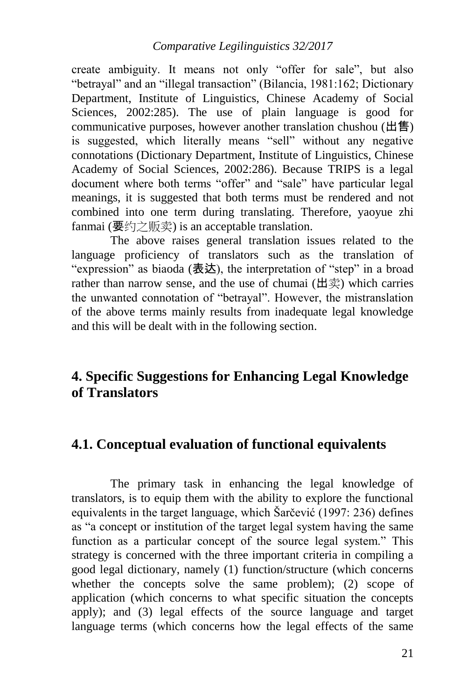create ambiguity. It means not only "offer for sale", but also "betrayal" and an "illegal transaction" (Bilancia, 1981:162; Dictionary Department, Institute of Linguistics, Chinese Academy of Social Sciences, 2002:285). The use of plain language is good for communicative purposes, however another translation chushou (出售) is suggested, which literally means "sell" without any negative connotations (Dictionary Department, Institute of Linguistics, Chinese Academy of Social Sciences, 2002:286). Because TRIPS is a legal document where both terms "offer" and "sale" have particular legal meanings, it is suggested that both terms must be rendered and not combined into one term during translating. Therefore, yaoyue zhi fanmai (要约之贩卖) is an acceptable translation.

The above raises general translation issues related to the language proficiency of translators such as the translation of "expression" as biaoda (表达), the interpretation of "step" in a broad rather than narrow sense, and the use of chumai (出卖) which carries the unwanted connotation of "betrayal". However, the mistranslation of the above terms mainly results from inadequate legal knowledge and this will be dealt with in the following section.

# **4. Specific Suggestions for Enhancing Legal Knowledge of Translators**

## **4.1. Conceptual evaluation of functional equivalents**

The primary task in enhancing the legal knowledge of translators, is to equip them with the ability to explore the functional equivalents in the target language, which Šarčević (1997: 236) defines as "a concept or institution of the target legal system having the same function as a particular concept of the source legal system." This strategy is concerned with the three important criteria in compiling a good legal dictionary, namely (1) function/structure (which concerns whether the concepts solve the same problem); (2) scope of application (which concerns to what specific situation the concepts apply); and (3) legal effects of the source language and target language terms (which concerns how the legal effects of the same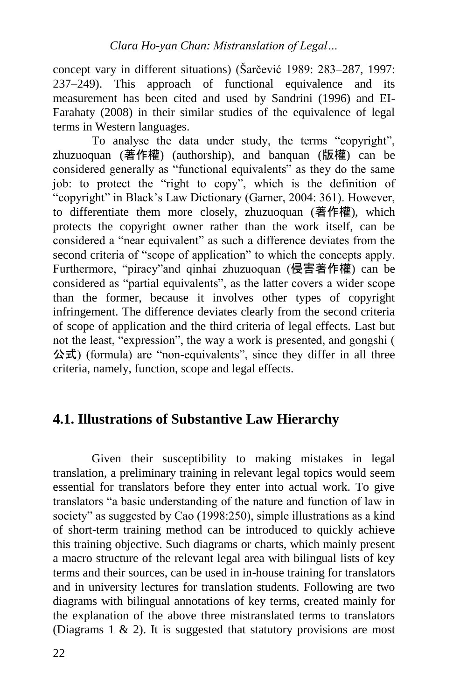concept vary in different situations) (Šarčević 1989: 283–287, 1997: 237–249). This approach of functional equivalence and its measurement has been cited and used by Sandrini (1996) and EI-Farahaty (2008) in their similar studies of the equivalence of legal terms in Western languages.

To analyse the data under study, the terms "copyright", zhuzuoquan (著作權) (authorship), and banquan (版權) can be considered generally as "functional equivalents" as they do the same job: to protect the "right to copy", which is the definition of "copyright" in Black's Law Dictionary (Garner, 2004: 361). However, to differentiate them more closely, zhuzuoquan (著作權), which protects the copyright owner rather than the work itself, can be considered a "near equivalent" as such a difference deviates from the second criteria of "scope of application" to which the concepts apply. Furthermore, "piracy"and qinhai zhuzuoquan (侵害著作權) can be considered as "partial equivalents", as the latter covers a wider scope than the former, because it involves other types of copyright infringement. The difference deviates clearly from the second criteria of scope of application and the third criteria of legal effects. Last but not the least, "expression", the way a work is presented, and gongshi ( 公式) (formula) are "non-equivalents", since they differ in all three criteria, namely, function, scope and legal effects.

# **4.1. Illustrations of Substantive Law Hierarchy**

Given their susceptibility to making mistakes in legal translation, a preliminary training in relevant legal topics would seem essential for translators before they enter into actual work. To give translators "a basic understanding of the nature and function of law in society" as suggested by Cao (1998:250), simple illustrations as a kind of short-term training method can be introduced to quickly achieve this training objective. Such diagrams or charts, which mainly present a macro structure of the relevant legal area with bilingual lists of key terms and their sources, can be used in in-house training for translators and in university lectures for translation students. Following are two diagrams with bilingual annotations of key terms, created mainly for the explanation of the above three mistranslated terms to translators (Diagrams  $1 \& 2$ ). It is suggested that statutory provisions are most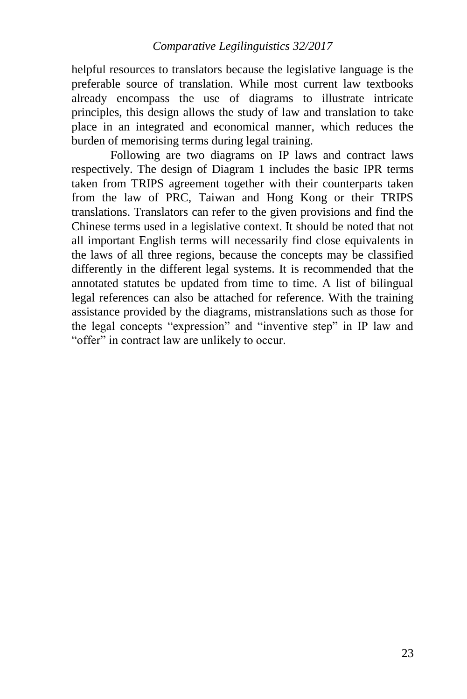helpful resources to translators because the legislative language is the preferable source of translation. While most current law textbooks already encompass the use of diagrams to illustrate intricate principles, this design allows the study of law and translation to take place in an integrated and economical manner, which reduces the burden of memorising terms during legal training.

Following are two diagrams on IP laws and contract laws respectively. The design of Diagram 1 includes the basic IPR terms taken from TRIPS agreement together with their counterparts taken from the law of PRC, Taiwan and Hong Kong or their TRIPS translations. Translators can refer to the given provisions and find the Chinese terms used in a legislative context. It should be noted that not all important English terms will necessarily find close equivalents in the laws of all three regions, because the concepts may be classified differently in the different legal systems. It is recommended that the annotated statutes be updated from time to time. A list of bilingual legal references can also be attached for reference. With the training assistance provided by the diagrams, mistranslations such as those for the legal concepts "expression" and "inventive step" in IP law and "offer" in contract law are unlikely to occur.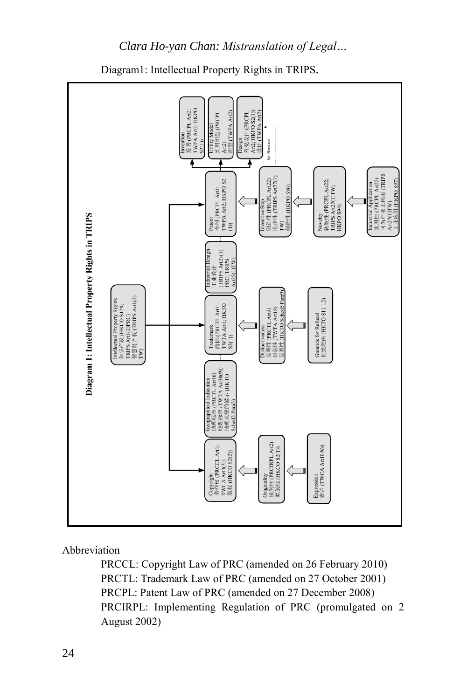

Diagram1: Intellectual Property Rights in TRIPS.

*Clara Ho-yan Chan: Mistranslation of Legal…*

#### Abbreviation

PRCCL: Copyright Law of PRC (amended on 26 February 2010) PRCTL: Trademark Law of PRC (amended on 27 October 2001) PRCPL: Patent Law of PRC (amended on 27 December 2008) PRCIRPL: Implementing Regulation of PRC (promulgated on 2 August 2002)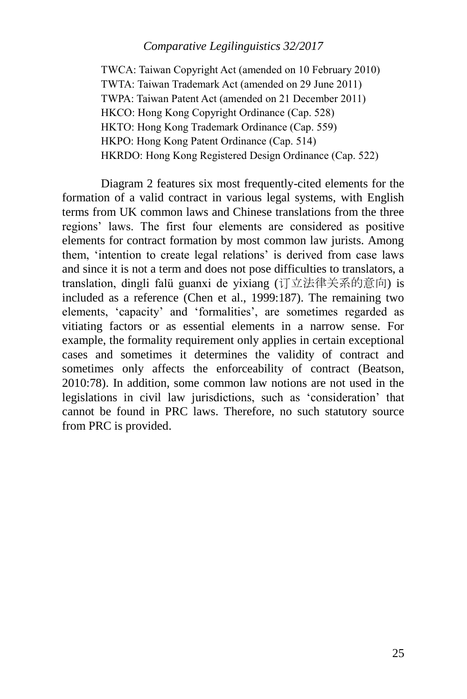TWCA: Taiwan Copyright Act (amended on 10 February 2010) TWTA: Taiwan Trademark Act (amended on 29 June 2011) TWPA: Taiwan Patent Act (amended on 21 December 2011) HKCO: Hong Kong Copyright Ordinance (Cap. 528) HKTO: Hong Kong Trademark Ordinance (Cap. 559) HKPO: Hong Kong Patent Ordinance (Cap. 514) HKRDO: Hong Kong Registered Design Ordinance (Cap. 522)

Diagram 2 features six most frequently-cited elements for the formation of a valid contract in various legal systems, with English terms from UK common laws and Chinese translations from the three regions' laws. The first four elements are considered as positive elements for contract formation by most common law jurists. Among them, 'intention to create legal relations' is derived from case laws and since it is not a term and does not pose difficulties to translators, a translation, dingli falü guanxi de yixiang (订立法律关系的意向) is included as a reference (Chen et al., 1999:187). The remaining two elements, 'capacity' and 'formalities', are sometimes regarded as vitiating factors or as essential elements in a narrow sense. For example, the formality requirement only applies in certain exceptional cases and sometimes it determines the validity of contract and sometimes only affects the enforceability of contract (Beatson, 2010:78). In addition, some common law notions are not used in the legislations in civil law jurisdictions, such as 'consideration' that cannot be found in PRC laws. Therefore, no such statutory source from PRC is provided.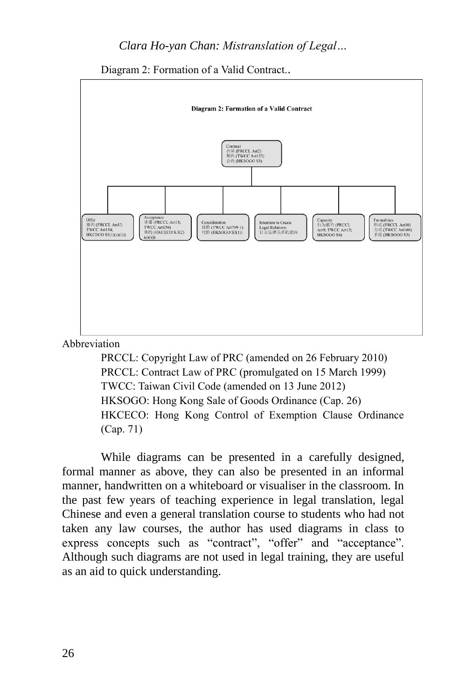Diagram 2: Formation of a Valid Contract..



#### Abbreviation

PRCCL: Copyright Law of PRC (amended on 26 February 2010) PRCCL: Contract Law of PRC (promulgated on 15 March 1999) TWCC: Taiwan Civil Code (amended on 13 June 2012) HKSOGO: Hong Kong Sale of Goods Ordinance (Cap. 26) HKCECO: Hong Kong Control of Exemption Clause Ordinance (Cap. 71)

While diagrams can be presented in a carefully designed, formal manner as above, they can also be presented in an informal manner, handwritten on a whiteboard or visualiser in the classroom. In the past few years of teaching experience in legal translation, legal Chinese and even a general translation course to students who had not taken any law courses, the author has used diagrams in class to express concepts such as "contract", "offer" and "acceptance". Although such diagrams are not used in legal training, they are useful as an aid to quick understanding.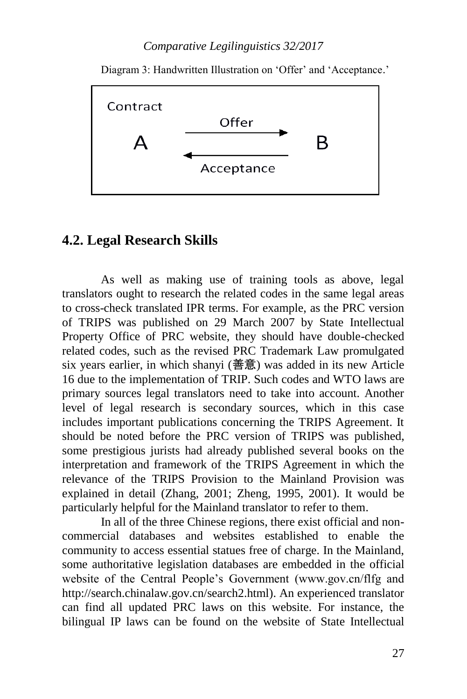Diagram 3: Handwritten Illustration on 'Offer' and 'Acceptance.'



## **4.2. Legal Research Skills**

As well as making use of training tools as above, legal translators ought to research the related codes in the same legal areas to cross-check translated IPR terms. For example, as the PRC version of TRIPS was published on 29 March 2007 by State Intellectual Property Office of PRC website, they should have double-checked related codes, such as the revised PRC Trademark Law promulgated six years earlier, in which shanyi (善意) was added in its new Article 16 due to the implementation of TRIP. Such codes and WTO laws are primary sources legal translators need to take into account. Another level of legal research is secondary sources, which in this case includes important publications concerning the TRIPS Agreement. It should be noted before the PRC version of TRIPS was published, some prestigious jurists had already published several books on the interpretation and framework of the TRIPS Agreement in which the relevance of the TRIPS Provision to the Mainland Provision was explained in detail (Zhang, 2001; Zheng, 1995, 2001). It would be particularly helpful for the Mainland translator to refer to them.

In all of the three Chinese regions, there exist official and noncommercial databases and websites established to enable the community to access essential statues free of charge. In the Mainland, some authoritative legislation databases are embedded in the official website of the Central People's Government (www.gov.cn/flfg and http://search.chinalaw.gov.cn/search2.html). An experienced translator can find all updated PRC laws on this website. For instance, the bilingual IP laws can be found on the website of State Intellectual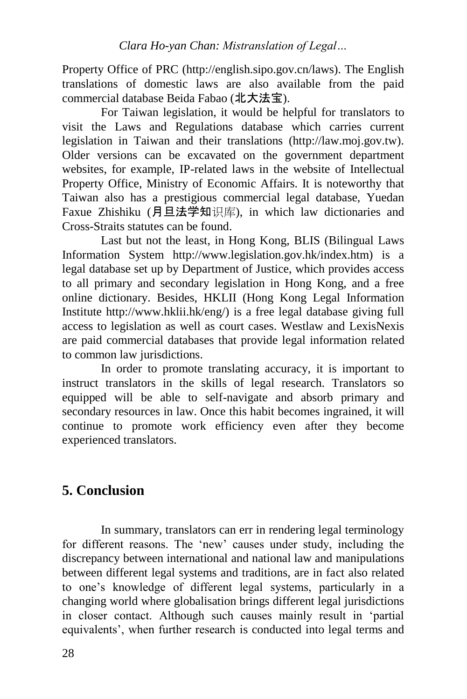Property Office of PRC (http://english.sipo.gov.cn/laws). The English translations of domestic laws are also available from the paid commercial database Beida Fabao (北大法宝).

For Taiwan legislation, it would be helpful for translators to visit the Laws and Regulations database which carries current legislation in Taiwan and their translations (http://law.moj.gov.tw). Older versions can be excavated on the government department websites, for example, IP-related laws in the website of Intellectual Property Office, Ministry of Economic Affairs. It is noteworthy that Taiwan also has a prestigious commercial legal database, Yuedan Faxue Zhishiku (月旦法学知识库), in which law dictionaries and Cross-Straits statutes can be found.

Last but not the least, in Hong Kong, BLIS (Bilingual Laws Information System http://www.legislation.gov.hk/index.htm) is a legal database set up by Department of Justice, which provides access to all primary and secondary legislation in Hong Kong, and a free online dictionary. Besides, HKLII (Hong Kong Legal Information Institute http://www.hklii.hk/eng/) is a free legal database giving full access to legislation as well as court cases. Westlaw and LexisNexis are paid commercial databases that provide legal information related to common law jurisdictions.

In order to promote translating accuracy, it is important to instruct translators in the skills of legal research. Translators so equipped will be able to self-navigate and absorb primary and secondary resources in law. Once this habit becomes ingrained, it will continue to promote work efficiency even after they become experienced translators.

# **5. Conclusion**

In summary, translators can err in rendering legal terminology for different reasons. The 'new' causes under study, including the discrepancy between international and national law and manipulations between different legal systems and traditions, are in fact also related to one's knowledge of different legal systems, particularly in a changing world where globalisation brings different legal jurisdictions in closer contact. Although such causes mainly result in 'partial equivalents', when further research is conducted into legal terms and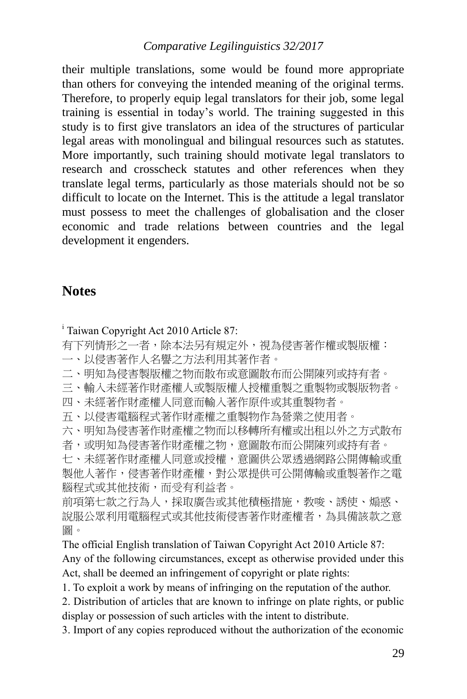their multiple translations, some would be found more appropriate than others for conveying the intended meaning of the original terms. Therefore, to properly equip legal translators for their job, some legal training is essential in today's world. The training suggested in this study is to first give translators an idea of the structures of particular legal areas with monolingual and bilingual resources such as statutes. More importantly, such training should motivate legal translators to research and crosscheck statutes and other references when they translate legal terms, particularly as those materials should not be so difficult to locate on the Internet. This is the attitude a legal translator must possess to meet the challenges of globalisation and the closer economic and trade relations between countries and the legal development it engenders.

### **Notes**

<sup>i</sup> Taiwan Copyright Act 2010 Article 87:

有下列情形之一者,除本法另有規定外,視為侵害著作權或製版權:

- 一、以侵害著作人名譽之方法利用其著作者。
- 二、明知為侵害製版權之物而散布或意圖散布而公開陳列或持有者。

三、輸入未經著作財產權人或製版權人授權重製之重製物或製版物者。

- 四、未經著作財產權人同意而輸入著作原件或其重製物者。
- 五、以侵害電腦程式著作財產權之重製物作為營業之使用者。
- 六、明知為侵害著作財產權之物而以移轉所有權或出租以外之方式散布

者,或明知為侵害著作財產權之物,意圖散布而公開陳列或持有者。 七、未經著作財產權人同意或授權,意圖供公眾透過網路公開傳輸或重 製他人著作,侵害著作財產權,對公眾提供可公開傳輸或重製著作之電 腦程式或其他技術,而受有利益者。

前項第七款之行為人,採取廣告或其他積極措施,教唆、誘使、煽惑、 說服公眾利用電腦程式或其他技術侵害著作財產權者,為具備該款之意 圖。

The official English translation of Taiwan Copyright Act 2010 Article 87:

Any of the following circumstances, except as otherwise provided under this Act, shall be deemed an infringement of copyright or plate rights:

1. To exploit a work by means of infringing on the reputation of the author.

2. Distribution of articles that are known to infringe on plate rights, or public display or possession of such articles with the intent to distribute.

3. Import of any copies reproduced without the authorization of the economic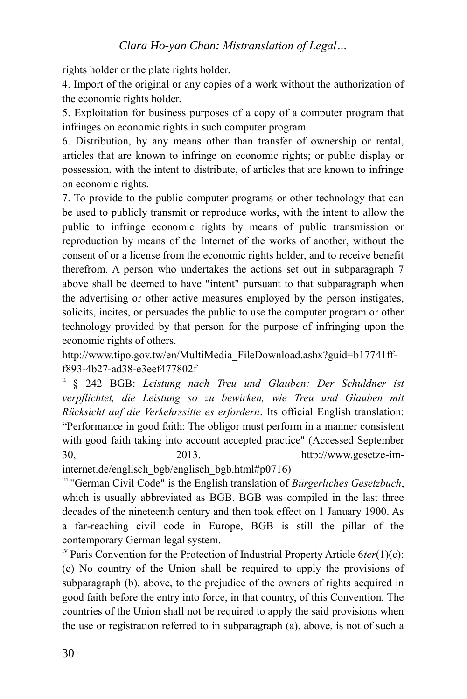rights holder or the plate rights holder.

4. Import of the original or any copies of a work without the authorization of the economic rights holder.

5. Exploitation for business purposes of a copy of a computer program that infringes on economic rights in such computer program.

6. Distribution, by any means other than transfer of ownership or rental, articles that are known to infringe on economic rights; or public display or possession, with the intent to distribute, of articles that are known to infringe on economic rights.

7. To provide to the public computer programs or other technology that can be used to publicly transmit or reproduce works, with the intent to allow the public to infringe economic rights by means of public transmission or reproduction by means of the Internet of the works of another, without the consent of or a license from the economic rights holder, and to receive benefit therefrom. A person who undertakes the actions set out in subparagraph 7 above shall be deemed to have "intent" pursuant to that subparagraph when the advertising or other active measures employed by the person instigates, solicits, incites, or persuades the public to use the computer program or other technology provided by that person for the purpose of infringing upon the economic rights of others.

http://www.tipo.gov.tw/en/MultiMedia\_FileDownload.ashx?guid=b17741fff893-4b27-ad38-e3eef477802f

ii § 242 BGB: *Leistung nach Treu und Glauben: Der Schuldner ist verpflichtet, die Leistung so zu bewirken, wie Treu und Glauben mit Rücksicht auf die Verkehrssitte es erfordern*. Its official English translation: "Performance in good faith: The obligor must perform in a manner consistent with good faith taking into account accepted practice" (Accessed September 30, 2013. http://www.gesetze-im-

internet.de/englisch\_bgb/englisch\_bgb.html#p0716)

<sup>III</sup> "German Civil Code" is the English translation of *Bürgerliches Gesetzbuch*, which is usually abbreviated as BGB. BGB was compiled in the last three decades of the nineteenth century and then took effect on 1 January 1900. As a far-reaching civil code in Europe, BGB is still the pillar of the contemporary German legal system.

iv Paris Convention for the Protection of Industrial Property Article 6*ter*(1)(c): (c) No country of the Union shall be required to apply the provisions of [subparagraph \(b\),](http://www.wipo.int/treaties/en/ip/paris/trtdocs_wo020.html#a6ter_1_b) above, to the prejudice of the owners of rights acquired in good faith before the entry into force, in that country, of this Convention. The countries of the Union shall not be required to apply the said provisions when the use or registration referred to in [subparagraph \(a\),](http://www.wipo.int/treaties/en/ip/paris/trtdocs_wo020.html#a6ter_1_a) above, is not of such a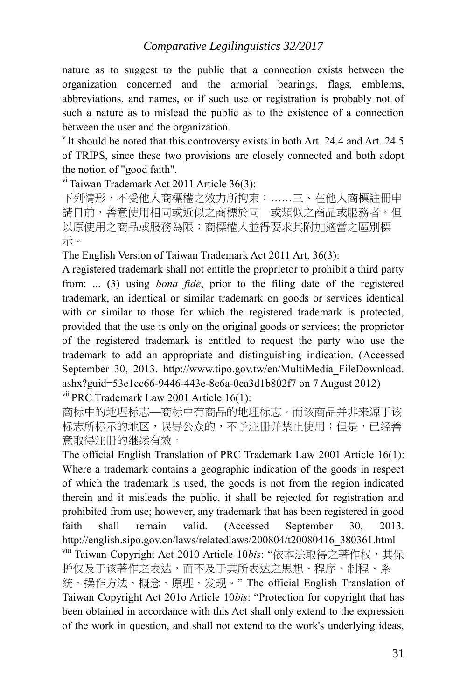nature as to suggest to the public that a connection exists between the organization concerned and the armorial bearings, flags, emblems, abbreviations, and names, or if such use or registration is probably not of such a nature as to mislead the public as to the existence of a connection between the user and the organization.

 $v$  It should be noted that this controversy exists in both Art. 24.4 and Art. 24.5 of TRIPS, since these two provisions are closely connected and both adopt the notion of "good faith".

 $\overline{v}$ <sup>i</sup> Taiwan Trademark Act 2011 Article 36(3):

下列情形,不受他人商標權之效力所拘束:……三、在他人商標註冊申 請日前,善意使用相同或近似之商標於同一或類似之商品或服務者。但 以原使用之商品或服務為限;商標權人並得要求其附加適當之區別標 示。

The English Version of Taiwan Trademark Act 2011 Art. 36(3):

A registered trademark shall not entitle the proprietor to prohibit a third party from: ... (3) using *bona fide*, prior to the filing date of the registered trademark, an identical or similar trademark on goods or services identical with or similar to those for which the registered trademark is protected, provided that the use is only on the original goods or services; the proprietor of the registered trademark is entitled to request the party who use the trademark to add an appropriate and distinguishing indication. (Accessed September 30, 2013. http://www.tipo.gov.tw/en/MultiMedia\_FileDownload. ashx?guid=53e1cc66-9446-443e-8c6a-0ca3d1b802f7 on 7 August 2012)

vii PRC Trademark Law 2001 Article 16(1):

商标中的地理标志—商标中有商品的地理标志,而该商品并非来源于该 标志所标示的地区,误导公众的,不予注册并禁止使用;但是,已经善 意取得注册的继续有效。

The official English Translation of PRC Trademark Law 2001 Article 16(1): Where a trademark contains a geographic indication of the goods in respect of which the trademark is used, the goods is not from the region indicated therein and it misleads the public, it shall be rejected for registration and prohibited from use; however, any trademark that has been registered in good faith shall remain valid. (Accessed September 30, 2013. http://english.sipo.gov.cn/laws/relatedlaws/200804/t20080416\_380361.html

viii Taiwan Copyright Act 2010 Article 10bis: "依本法取得之著作权,其保 护仅及于该著作之表达,而不及于其所表达之思想、程序、制程、系 统、操作方法、概念、原理、发现。" The official English Translation of Taiwan Copyright Act 201o Article 10*bis*: "Protection for copyright that has been obtained in accordance with this Act shall only extend to the expression of the work in question, and shall not extend to the work's underlying ideas,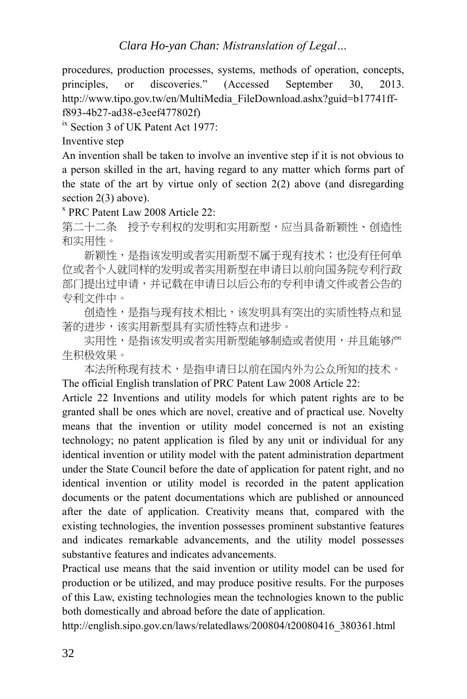procedures, production processes, systems, methods of operation, concepts, principles, or discoveries." (Accessed September 30, 2013. http://www.tipo.gov.tw/en/MultiMedia\_FileDownload.ashx?guid=b17741fff893-4b27-ad38-e3eef477802f)

<sup>ix</sup> Section 3 of UK Patent Act 1977:

Inventive step

An invention shall be taken to involve an inventive step if it is not obvious to a person skilled in the art, having regard to any matter which forms part of the state of the art by virtue only of section 2(2) above (and disregarding section 2(3) above).

x PRC Patent Law 2008 Article 22:

第二十二条 授予专利权的发明和实用新型,应当具备新颖性、创造性 和实用性。

新颖性,是指该发明或者实用新型不属于现有技术;也没有任何单 位或者个人就同样的发明或者实用新型在申请日以前向国务院专利行政 部门提出过申请,并记载在申请日以后公布的专利申请文件或者公告的 专利文件中。

创造性,是指与现有技术相比,该发明具有突出的实质性特点和显 著的进步,该实用新型具有实质性特点和进步。

实用性,是指该发明或者实用新型能够制造或者使用,并且能够产 生积极效果。

 本法所称现有技术,是指申请日以前在国内外为公众所知的技术。 The official English translation of PRC Patent Law 2008 Article 22:

Article 22 Inventions and utility models for which patent rights are to be granted shall be ones which are novel, creative and of practical use. Novelty means that the invention or utility model concerned is not an existing technology; no patent application is filed by any unit or individual for any identical invention or utility model with the patent administration department under the State Council before the date of application for patent right, and no identical invention or utility model is recorded in the patent application documents or the patent documentations which are published or announced after the date of application. Creativity means that, compared with the existing technologies, the invention possesses prominent substantive features and indicates remarkable advancements, and the utility model possesses substantive features and indicates advancements.

Practical use means that the said invention or utility model can be used for production or be utilized, and may produce positive results. For the purposes of this Law, existing technologies mean the technologies known to the public both domestically and abroad before the date of application.

http://english.sipo.gov.cn/laws/relatedlaws/200804/t20080416\_380361.html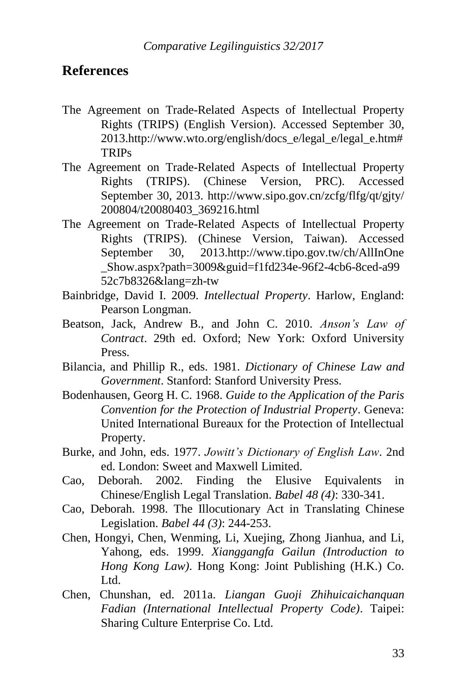### **References**

- The Agreement on Trade-Related Aspects of Intellectual Property Rights (TRIPS) (English Version). Accessed September 30, 2013.http://www.wto.org/english/docs\_e/legal\_e/legal\_e.htm# TRIPs
- The Agreement on Trade-Related Aspects of Intellectual Property Rights (TRIPS). (Chinese Version, PRC). Accessed September 30, 2013. http://www.sipo.gov.cn/zcfg/flfg/qt/gjty/ 200804/t20080403\_369216.html
- The Agreement on Trade-Related Aspects of Intellectual Property Rights (TRIPS). (Chinese Version, Taiwan). Accessed September 30, 2013.http://www.tipo.gov.tw/ch/AllInOne \_Show.aspx?path=3009&guid=f1fd234e-96f2-4cb6-8ced-a99 52c7b8326&lang=zh-tw
- Bainbridge, David I. 2009. *Intellectual Property*. Harlow, England: Pearson Longman.
- Beatson, Jack, Andrew B., and John C. 2010. *Anson's Law of Contract*. 29th ed. Oxford; New York: Oxford University Press.
- Bilancia, and Phillip R., eds. 1981. *Dictionary of Chinese Law and Government*. Stanford: Stanford University Press.
- Bodenhausen, Georg H. C. 1968. *Guide to the Application of the Paris Convention for the Protection of Industrial Property*. Geneva: United International Bureaux for the Protection of Intellectual Property.
- Burke, and John, eds. 1977. *Jowitt's Dictionary of English Law*. 2nd ed. London: Sweet and Maxwell Limited.
- Cao, Deborah. 2002. Finding the Elusive Equivalents in Chinese/English Legal Translation. *Babel 48 (4)*: 330-341.
- Cao, Deborah. 1998. The Illocutionary Act in Translating Chinese Legislation. *Babel 44 (3)*: 244-253.
- Chen, Hongyi, Chen, Wenming, Li, Xuejing, Zhong Jianhua, and Li, Yahong, eds. 1999. *Xianggangfa Gailun (Introduction to Hong Kong Law)*. Hong Kong: Joint Publishing (H.K.) Co. Ltd.
- Chen, Chunshan, ed. 2011a. *Liangan Guoji Zhihuicaichanquan Fadian (International Intellectual Property Code)*. Taipei: Sharing Culture Enterprise Co. Ltd.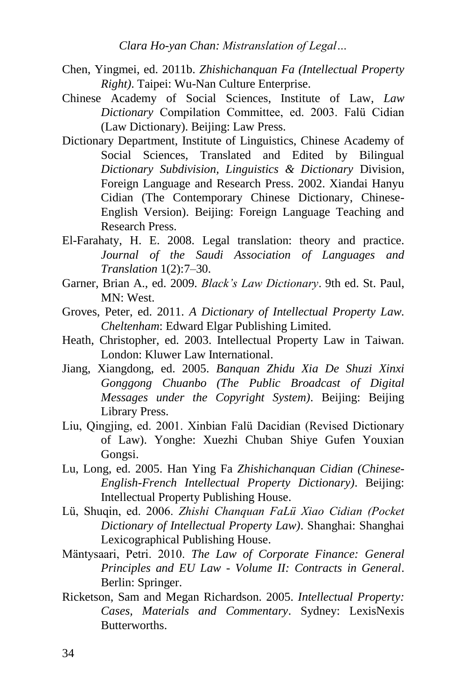- Chen, Yingmei, ed. 2011b. *Zhishichanquan Fa (Intellectual Property Right)*. Taipei: Wu-Nan Culture Enterprise.
- Chinese Academy of Social Sciences, Institute of Law, *Law Dictionary* Compilation Committee, ed. 2003. Falü Cidian (Law Dictionary). Beijing: Law Press.
- Dictionary Department, Institute of Linguistics, Chinese Academy of Social Sciences, Translated and Edited by Bilingual *Dictionary Subdivision, Linguistics & Dictionary* Division, Foreign Language and Research Press. 2002. Xiandai Hanyu Cidian (The Contemporary Chinese Dictionary, Chinese-English Version). Beijing: Foreign Language Teaching and Research Press.
- El-Farahaty, H. E. 2008. Legal translation: theory and practice. *Journal of the Saudi Association of Languages and Translation* 1(2):7–30.
- Garner, Brian A., ed. 2009. *Black's Law Dictionary*. 9th ed. St. Paul, MN: West.
- Groves, Peter, ed. 2011. *A Dictionary of Intellectual Property Law. Cheltenham*: Edward Elgar Publishing Limited.
- Heath, Christopher, ed. 2003. Intellectual Property Law in Taiwan. London: Kluwer Law International.
- Jiang, Xiangdong, ed. 2005. *Banquan Zhidu Xia De Shuzi Xinxi Gonggong Chuanbo (The Public Broadcast of Digital Messages under the Copyright System)*. Beijing: Beijing Library Press.
- Liu, Qingjing, ed. 2001. Xinbian Falü Dacidian (Revised Dictionary of Law). Yonghe: Xuezhi Chuban Shiye Gufen Youxian Gongsi.
- Lu, Long, ed. 2005. Han Ying Fa *Zhishichanquan Cidian (Chinese-English-French Intellectual Property Dictionary)*. Beijing: Intellectual Property Publishing House.
- Lü, Shuqin, ed. 2006. *Zhishi Chanquan FaLü Xiao Cidian (Pocket Dictionary of Intellectual Property Law)*. Shanghai: Shanghai Lexicographical Publishing House.
- Mäntysaari, Petri. 2010. *The Law of Corporate Finance: General Principles and EU Law - Volume II: Contracts in General*. Berlin: Springer.
- Ricketson, Sam and Megan Richardson. 2005. *Intellectual Property: Cases, Materials and Commentary*. Sydney: LexisNexis **Butterworths**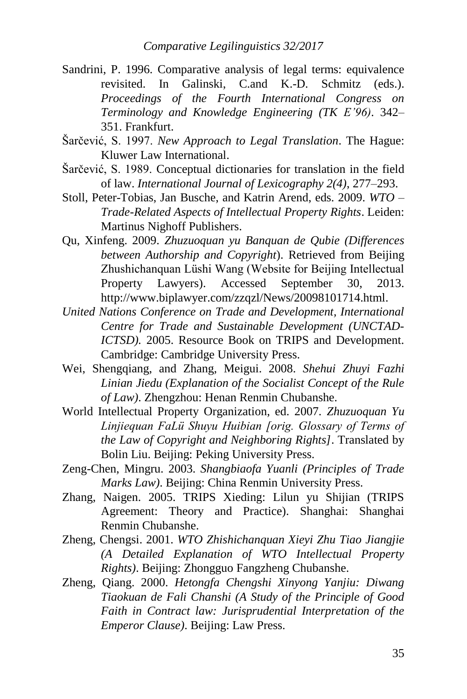- Sandrini, P. 1996. Comparative analysis of legal terms: equivalence revisited. In Galinski, C.and K.-D. Schmitz (eds.). *Proceedings of the Fourth International Congress on Terminology and Knowledge Engineering (TK E'96)*. 342– 351. Frankfurt.
- Šarčević, S. 1997. *New Approach to Legal Translation*. The Hague: Kluwer Law International.
- Šarčević, S. 1989. Conceptual dictionaries for translation in the field of law. *International Journal of Lexicography 2(4)*, 277–293.
- Stoll, Peter-Tobias, Jan Busche, and Katrin Arend, eds. 2009. *WTO – Trade-Related Aspects of Intellectual Property Rights*. Leiden: Martinus Nighoff Publishers.
- Qu, Xinfeng. 2009. *Zhuzuoquan yu Banquan de Qubie (Differences between Authorship and Copyright*). Retrieved from Beijing Zhushichanquan Lüshi Wang (Website for Beijing Intellectual Property Lawyers). Accessed September 30, 2013. http://www.biplawyer.com/zzqzl/News/20098101714.html.
- *United Nations Conference on Trade and Development, International Centre for Trade and Sustainable Development (UNCTAD-ICTSD).* 2005. Resource Book on TRIPS and Development. Cambridge: Cambridge University Press.
- Wei, Shengqiang, and Zhang, Meigui. 2008. *Shehui Zhuyi Fazhi Linian Jiedu (Explanation of the Socialist Concept of the Rule of Law)*. Zhengzhou: Henan Renmin Chubanshe.
- World Intellectual Property Organization, ed. 2007. *Zhuzuoquan Yu Linjiequan FaLü Shuyu Huibian [orig. Glossary of Terms of the Law of Copyright and Neighboring Rights]*. Translated by Bolin Liu. Beijing: Peking University Press.
- Zeng-Chen, Mingru. 2003. *Shangbiaofa Yuanli (Principles of Trade Marks Law)*. Beijing: China Renmin University Press.
- Zhang, Naigen. 2005. TRIPS Xieding: Lilun yu Shijian (TRIPS Agreement: Theory and Practice). Shanghai: Shanghai Renmin Chubanshe.
- Zheng, Chengsi. 2001. *WTO Zhishichanquan Xieyi Zhu Tiao Jiangjie (A Detailed Explanation of WTO Intellectual Property Rights)*. Beijing: Zhongguo Fangzheng Chubanshe.
- Zheng, Qiang. 2000. *Hetongfa Chengshi Xinyong Yanjiu: Diwang Tiaokuan de Fali Chanshi (A Study of the Principle of Good Faith in Contract law: Jurisprudential Interpretation of the Emperor Clause)*. Beijing: Law Press.